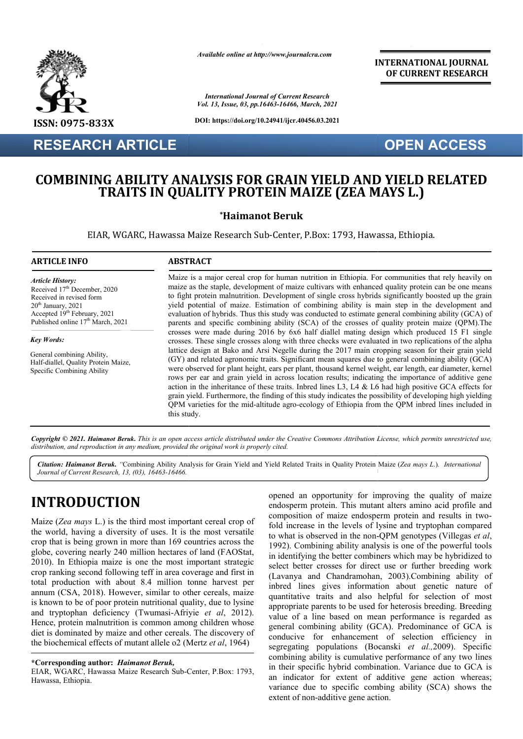

**RESEARCH ARTICLE**

*Available online at http://www.journalcra.com*

*International Journal of Current Research Vol. 13, Issue, 03, pp.16463-16466, March, 2021*

**DOI: https://doi.org/10.24941/ijcr.40456.03.2021**

#### **INTERNATIONAL JOURNAL OF CURRENT RESEARCH**

# **OPEN ACCESS**

## **COMBINING ABILITY ANALYSIS FOR GRAIN YIELD AND YIELD RELATED TG ABILITY ANALYSIS FOR GRAIN YIELD AND YIELD<br>TRAITS IN QUALITY PROTEIN MAIZE (ZEA MAYS L.)**

#### **\*Haimanot Beruk**

EIAR, WGARC, Hawassa Maize Research Sub-Center, P.Box: 1793, Hawassa, Ethiopia.

#### **ARTICLE INFO ABSTRACT**

*Key Words: Key Words:*

*Article History:* Received 17<sup>th</sup> December, 2020 Received in revised form Received in revised form  $20<sup>th</sup>$  January,  $2021$ Accepted  $19<sup>th</sup>$  February, 2021 Published online 17<sup>th</sup> March, 2021 . . . . .

General combining Ability, Cytoreduction, Debulking, Neoadjuvant, Half-diallel, Quality Protein Maize, **Specific Combining Ability** 

Maize is a major cereal crop for human nutrition in Ethiopia. For communities that rely heavily on maize as the staple, development of maize cultivars with enhanced quality protein can be one means maize as the staple, development of maize cultivars with enhanced quality protein can be one means to fight protein malnutrition. Development of single cross hybrids significantly boosted up the grain yield potential of maize. Estimation of combining ability is main step in the development and evaluation of hybrids. Thus this study was conducted to estimate general combining ability (GCA) of parents and specific combining ability (SCA) of the crosses of quality protein maize (QPM).The crosses were made during 2016 by 6x6 half diallel mating design which produced 15 F1 single crosses. These single crosses along with three checks were evaluated in two replications of the alpha lattice design at Bako and Arsi Negelle during the 2017 main cropping season for their grain yield (GY) and related agronomic traits. Significant mean squares due to general combining ability (GCA) were observed for plant height, ears per plant, thousand kernel weight, ear length, ear diameter, kernel rows per ear and grain yield in across location results; indicating the importance of additive gene action in the inheritance of these traits. Inbred lines L3, L4  $\&$  L6 had high positive GCA effects for grain yield. Furthermore, the finding of this study indicates the possibility of developing high yielding QPM varieties for the mid mid-altitude agro-ecology of Ethiopia from the QPM inbred lines included in this study. es. These single crosses along with three checks were evaluated in two replications of the alpha<br>e design at Bako and Arsi Negelle during the 2017 main cropping season for their grain yield<br>and related agronomic traits. Si **z** to fight protein malnutrition. Development of single cross hybrids significantly boosted up the grain<br>yield potential of maize. Estimation of combining ability is main step in the development and<br>evaluation of hybrids. Thu

Copyright © 2021. Haimanot Beruk. This is an open access article distributed under the Creative Commons Attribution License, which permits unrestricted use, *distribution, and reproduction in any medium, provided the original work is properly cited.*

Citation: Haimanot Beruk. "Combining Ability Analysis for Grain Yield and Yield Related Traits in Quality Protein Maize (Zea mays L.). International Journal of Current Research. 13. (03). 16463-16466. *Journal of Current Research, 13, (03), 16463-16466.*

# **INTRODUCTION**

Maize (*Zea mays* L.) is the third most important cereal crop of the world, having a diversity of uses. It is the most versatile crop that is being grown in more than 169 countries across the globe, covering nearly 240 million hectares of land (FAOStat, 2010). In Ethiopia maize is one the most important strategic crop ranking second following teff in area coverage and first in total production with about 8.4 million tonne harvest per annum (CSA, 2018). However, similar to other cereals, maize is known to be of poor protein nutritional quality, due to lysine and tryptophan deficiency (Twumasi-Afriyie et al. 2012). Hence, protein malnutrition is common among children whose diet is dominated by maize and other cereals. The discovery of the biochemical effects of mutant allele o2 (Mertz *et al*, 1964) In Ethiopia maize is one the most important strategic<br>anking second following teff in area coverage and first in<br>production with about 8.4 million tonne harvest per<br>n (CSA, 2018). However, similar to other cereals, maize<br>w

**\*Corresponding author:** *Haimanot Beruk,*

EIAR, WGARC, Hawassa Maize Research Sub-Center, P.Box: 1793, Hawassa, Ethiopia.

opened an opportunity for improving the quality of maize<br>
endosperm protein. This mutant alters amino acid profile and<br>
countries across the<br>
fold increase in the levels of lysine and tryptophan compared<br>
the most versati endosperm protein. This mutant alters amino acid profile and opened an opportunity for improving the quality of maize endosperm protein. This mutant alters amino acid profile and composition of maize endosperm protein and results in twofold increase in the levels of lysine and tryptophan compared fold increase in the levels of lysine and tryptophan compared to what is observed in the non-QPM genotypes (Villegas *et al*, 1992). Combining ability analysis is one of the powerful tools in identifying the better combiners which may be hybridized to select better crosses for direct use or further breeding work 1992). Combining ability analysis is one of the powerful tools in identifying the better combiners which may be hybridized to select better crosses for direct use or further breeding work (Lavanya and Chandramohan, 2003).C inbred lines gives information about genetic nature of inbred lines gives information about genetic nature of quantitative traits and also helpful for selection of most appropriate parents to be used for heterosis breeding. Breeding value of a line based on mean performance is regarded as general combining ability (GCA). Predominance of GCA is conducive for enhancement of selection efficiency in segregating populations (Bocanski et al., 2009). Specific combining ability is cumulative performance of any two lines in their specific hybrid combination. Variance due to GCA is an indicator for extent of additive gene action whereas; variance due to specific combing ability (SCA) shows the extent of non-additive gene action. value of a line based on mean performance is regarded as general combining ability (GCA). Predominance of GCA is conducive for enhancement of selection efficiency in segregating populations (Bocanski *et al.,*2009). Specif lity is cumulative performance of any two lines<br>ic hybrid combination. Variance due to GCA is<br>for extent of additive gene action whereas;<br>to specific combing ability (SCA) shows the **INTERNATIONAL JOURNAL**<br>
The second of **CURRENT RESEARCH**<br>
Treation CF CURRENT RESEARCH<br>
Treation and the second of **CURRENT RESEARCH**<br>
18.2021<br> **OPEN ACCESS**<br>
TELD AND YIELD RELATED<br>
ZE (ZEA MAYS L.)<br>
TOPEN ACCESS<br>
TELD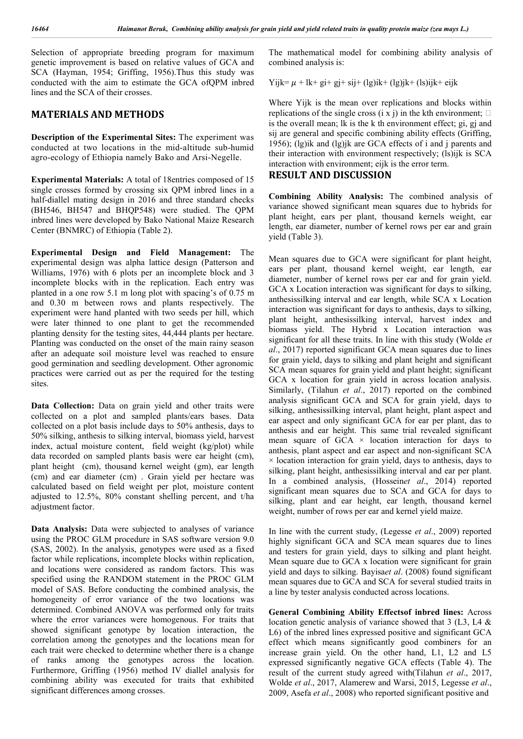Selection of appropriate breeding program for maximum genetic improvement is based on relative values of GCA and SCA (Hayman, 1954; Griffing, 1956).Thus this study was conducted with the aim to estimate the GCA ofQPM inbred lines and the SCA of their crosses.

#### **MATERIALS AND METHODS**

**Description of the Experimental Sites:** The experiment was conducted at two locations in the mid-altitude sub-humid agro-ecology of Ethiopia namely Bako and Arsi-Negelle.

**Experimental Materials:** A total of 18entries composed of 15 single crosses formed by crossing six QPM inbred lines in a half-diallel mating design in 2016 and three standard checks (BH546, BH547 and BHQP548) were studied. The QPM inbred lines were developed by Bako National Maize Research Center (BNMRC) of Ethiopia (Table 2).

**Experimental Design and Field Management:** The experimental design was alpha lattice design (Patterson and Williams, 1976) with 6 plots per an incomplete block and 3 incomplete blocks with in the replication. Each entry was planted in a one row 5.1 m long plot with spacing's of 0.75 m and 0.30 m between rows and plants respectively. The experiment were hand planted with two seeds per hill, which were later thinned to one plant to get the recommended planting density for the testing sites, 44,444 plants per hectare. Planting was conducted on the onset of the main rainy season after an adequate soil moisture level was reached to ensure good germination and seedling development. Other agronomic practices were carried out as per the required for the testing sites.

Data Collection: Data on grain yield and other traits were collected on a plot and sampled plants/ears bases. Data collected on a plot basis include days to 50% anthesis, days to 50% silking, anthesis to silking interval, biomass yield, harvest index, actual moisture content, field weight (kg/plot) while data recorded on sampled plants basis were ear height (cm), plant height (cm), thousand kernel weight (gm), ear length (cm) and ear diameter (cm) . Grain yield per hectare was calculated based on field weight per plot, moisture content adjusted to 12.5%, 80% constant shelling percent, and t/ha adjustment factor.

**Data Analysis:** Data were subjected to analyses of variance using the PROC GLM procedure in SAS software version 9.0 (SAS, 2002). In the analysis, genotypes were used as a fixed factor while replications, incomplete blocks within replication, and locations were considered as random factors. This was specified using the RANDOM statement in the PROC GLM model of SAS. Before conducting the combined analysis, the homogeneity of error variance of the two locations was determined. Combined ANOVA was performed only for traits where the error variances were homogenous. For traits that showed significant genotype by location interaction, the correlation among the genotypes and the locations mean for each trait were checked to determine whether there is a change of ranks among the genotypes across the location. Furthermore, Griffing (1956) method IV diallel analysis for combining ability was executed for traits that exhibited significant differences among crosses.

The mathematical model for combining ability analysis of combined analysis is:

Yijk=  $\mu$  + lk+ gi+ gj+ sij+ (lg)ik+ (lg)jk+ (ls)ijk+ eijk

Where Yijk is the mean over replications and blocks within replications of the single cross (i x j) in the kth environment;  $\Box$ is the overall mean; lk is the k th environment effect; gi, gj and sij are general and specific combining ability effects (Griffing, 1956); (lg)ik and (lg)jk are GCA effects of i and j parents and their interaction with environment respectively; (ls)ijk is SCA interaction with environment; eijk is the error term.

#### **RESULT AND DISCUSSION**

**Combining Ability Analysis:** The combined analysis of variance showed significant mean squares due to hybrids for plant height, ears per plant, thousand kernels weight, ear length, ear diameter, number of kernel rows per ear and grain yield (Table 3).

Mean squares due to GCA were significant for plant height, ears per plant, thousand kernel weight, ear length, ear diameter, number of kernel rows per ear and for grain yield. GCA x Location interaction was significant for days to silking, anthesissilking interval and ear length, while SCA x Location interaction was significant for days to anthesis, days to silking, plant height, anthesissilking interval, harvest index and biomass yield. The Hybrid x Location interaction was significant for all these traits. In line with this study (Wolde *et al*., 2017) reported significant GCA mean squares due to lines for grain yield, days to silking and plant height and significant SCA mean squares for grain yield and plant height; significant GCA x location for grain yield in across location analysis. Similarly, (Tilahun *et al*., 2017) reported on the combined analysis significant GCA and SCA for grain yield, days to silking, anthesissilking interval, plant height, plant aspect and ear aspect and only significant GCA for ear per plant, das to anthesis and ear height. This same trial revealed significant mean square of  $GCA \times$  location interaction for days to anthesis, plant aspect and ear aspect and non-significant SCA  $\times$  location interaction for grain yield, days to anthesis, days to silking, plant height, anthesissilking interval and ear per plant. In a combined analysis, (Hossein*et al*., 2014) reported significant mean squares due to SCA and GCA for days to silking, plant and ear height, ear length, thousand kernel weight, number of rows per ear and kernel yield maize.

In line with the current study, (Legesse *et al*., 2009) reported highly significant GCA and SCA mean squares due to lines and testers for grain yield, days to silking and plant height. Mean square due to GCA x location were significant for grain yield and days to silking. Bayisa*et al*. (2008) found significant mean squares due to GCA and SCA for several studied traits in a line by tester analysis conducted across locations.

**General Combining Ability Effectsof inbred lines:** Across location genetic analysis of variance showed that 3 (L3, L4 & L6) of the inbred lines expressed positive and significant GCA effect which means significantly good combiners for an increase grain yield. On the other hand, L1, L2 and L5 expressed significantly negative GCA effects (Table 4). The result of the current study agreed with(Tilahun *et al*., 2017, Wolde *et al*., 2017, Alamerew and Warsi, 2015, Legesse *et al*., 2009, Asefa *et al*., 2008) who reported significant positive and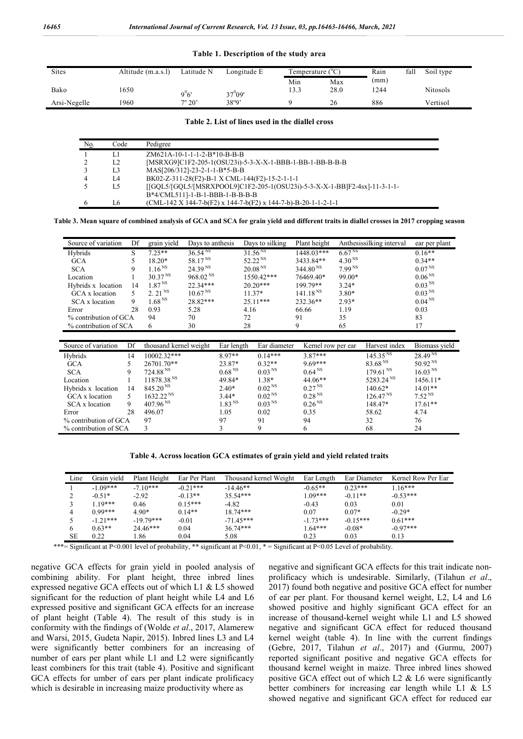#### **Table 1. Description of the study area**

| <b>Sites</b> | Altitude (m.a.s.l) | Latitude N      | Longitude E | Temperature ( ${}^0C$ ) |      | Rain | fall | Soil type       |
|--------------|--------------------|-----------------|-------------|-------------------------|------|------|------|-----------------|
|              |                    |                 |             | Min                     | Max  | (mm) |      |                 |
| Bako         | 1650               |                 | $37^009'$   | 13.3                    | 28.0 | 1244 |      | <b>Nitosols</b> |
| Arsi-Negelle | 1960               | $7^{\circ} 20'$ | 38°9'       |                         | 26   | 886  |      | Vertisol        |

#### **Table 2. List of lines used in the diallel cross**

| N <sub>0</sub> . | Code           | Pedigree                                                                                      |
|------------------|----------------|-----------------------------------------------------------------------------------------------|
|                  | L1             | ZM621A-10-1-1-1-2-B*10-B-B-B                                                                  |
|                  | L <sub>2</sub> | [MSRXG9]C1F2-205-1(OSU23i)-5-3-X-X-1-BBB-1-BB-1-BB-B-B-B-B                                    |
|                  | L <sub>3</sub> | MAS[206/312]-23-2-1-1-B*5-B-B                                                                 |
|                  | IA             | BK02-Z-311-28(F2)-B-1 X CML-144(F2)-15-2-1-1-1                                                |
|                  | L5             | [[GOL5/[GOL5/[MSRXPOOL9]C1F2-205-1(OSU23i)-5-3-X-X-1-BB]F2-4sx]-11-3-1-1-                     |
|                  |                | B*4/CML511]-1-B-1-BBB-1-B-B-B-B                                                               |
|                  | I 6            | $(CML-142 \text{ X } 144-7-b(F2) \text{ X } 144-7-b(F2) \text{ X } 144-7-b) - B-20-1-1-2-1-1$ |

#### **Table 3. Mean square of combined analysis of GCA and SCA for grain yield and different traits in diallel crosses in 2017 cropping season**

| Source of variation   | Df | grain yield            | Days to anthesis    |                      |                     | Days to silking     |            | Plant height         |                    | Anthesissilking interval | ear per plant       |
|-----------------------|----|------------------------|---------------------|----------------------|---------------------|---------------------|------------|----------------------|--------------------|--------------------------|---------------------|
| Hybrids               | S  | $7.25**$               | $36.54^{NS}$        |                      | 31.56 <sup>NS</sup> |                     | 1448.03*** |                      | 6.67 <sup>NS</sup> |                          | $0.16**$            |
| <b>GCA</b>            | 5  | 18.20*                 | 58.17 <sup>NS</sup> |                      | 52.22 <sup>NS</sup> |                     | 3433.84**  |                      | 4.30 <sup>NS</sup> |                          | $0.34**$            |
| <b>SCA</b>            | 9  | 1.16 <sup>NS</sup>     | 24.39 <sup>NS</sup> |                      |                     | 20.08 <sup>NS</sup> |            | 344.80 <sup>NS</sup> | 7.99 <sup>NS</sup> |                          | 0.07 <sup>NS</sup>  |
| Location              |    | $30.37NS$              |                     | 968.02 <sup>NS</sup> |                     | 1550.42***          |            | 76469.40*            | 99.00*             |                          | 0.06 <sup>NS</sup>  |
| Hybrids x location    | 14 | 1.87 <sup>NS</sup>     | 22.34***            |                      |                     | $20.20***$          |            | 199.79**             | $3.24*$            |                          | 0.03 <sup>NS</sup>  |
| GCA x location        | 5  | 2.21 <sup>NS</sup>     | $10.67^{\,\rm NS}$  |                      |                     | $11.37*$            |            | 141.18 <sup>NS</sup> | $3.80*$            |                          | 0.03 <sup>NS</sup>  |
| SCA x location        | 9  | 1.68 <sup>NS</sup>     | 28.82***            |                      |                     | $25.11***$          |            | 232.36**             | $2.93*$            |                          | 0.04 <sup>NS</sup>  |
| Error                 | 28 | 0.93                   | 5.28                |                      |                     | 4.16                |            | 66.66                | 1.19               |                          | 0.03                |
| % contribution of GCA |    | 94                     | 70                  |                      | 72                  |                     | 91         |                      | 35                 |                          | 83                  |
| % contribution of SCA |    | 6                      | 30                  |                      | 28                  |                     | 9          |                      | 65                 |                          | 17                  |
|                       |    |                        |                     |                      |                     |                     |            |                      |                    |                          |                     |
| Source of variation   | Df | thousand kernel weight |                     | Ear length           |                     | Ear diameter        |            | Kernel row per ear   |                    | Harvest index            | Biomass yield       |
| Hybrids               | 14 | 10002.32***            |                     | 8.97**               |                     | $0.14***$           |            | $3.87***$            |                    | 145.35 <sup>NS</sup>     | 28.49 <sup>NS</sup> |
| <b>GCA</b>            | 5  | 26701.70**             |                     | 23.87*               |                     | $0.32**$            |            | $9.69***$            |                    | $83.68^{\rm\, NS}$       | 50.92 <sup>NS</sup> |
| <b>SCA</b>            | 9  | $724.88^{\text{ NS}}$  |                     | 0.68 <sup>NS</sup>   |                     | $0.03^{\rm\, NS}$   |            | 0.64 <sup>NS</sup>   |                    | 179.61 <sup>NS</sup>     | 16.03 <sup>NS</sup> |
| Location              |    | $11878.38$ $^{\rm NS}$ |                     | 49.84*               |                     | $1.38*$             |            | 44.06**              |                    | 5283.24 <sup>NS</sup>    | 1456.11*            |
| Hybrids x location    | 14 | 845.20 <sup>NS</sup>   |                     | $2.40*$              |                     | 0.02 <sup>NS</sup>  |            | 0.27 <sup>NS</sup>   |                    | 140.62*                  | $14.01**$           |
| GCA x location        | 5. | $1632.22^{NS}$         |                     | $3.44*$              |                     | 0.02 <sup>NS</sup>  |            | 0.28 <sup>NS</sup>   |                    | 126.47 <sup>NS</sup>     | 7.52 <sup>NS</sup>  |
| SCA x location        | 9  | 407.96 N               |                     | 1.83 <sup>NS</sup>   |                     | 0.03 <sup>NS</sup>  |            | 0.26 <sup>NS</sup>   |                    | 148.47*                  | $17.61**$           |
| Error                 | 28 | 496.07                 |                     | 1.05                 |                     | 0.02                |            | 0.35                 |                    | 58.62                    | 4.74                |
| % contribution of GCA |    | 97                     |                     | 97                   | 91                  |                     | 94         |                      |                    | 32                       | 76                  |
| % contribution of SCA |    | 3                      |                     | 3                    |                     | 9                   |            | 6                    |                    | 68                       | 24                  |

**Table 4. Across location GCA estimates of grain yield and yield related traits**

| Line      | Grain vield | Plant Height | Ear Per Plant | Thousand kernel Weight | Ear Length | Ear Diameter | Kernel Row Per Ear |
|-----------|-------------|--------------|---------------|------------------------|------------|--------------|--------------------|
|           | $-1.09***$  | $-7.10***$   | $-0.21***$    | $-14.46**$             | $-0.65**$  | $0.23***$    | $16***$            |
|           | $-0.51*$    | $-2.92$      | $-0.13**$     | $35.54***$             | $.09***$   | $-0.11**$    | $-0.53***$         |
|           | 119***      | 0.46         | $0.15***$     | $-4.82$                | $-0.43$    | 0.03         | 0.01               |
| 4         | $0.99***$   | $4.90*$      | $0.14**$      | $18.74***$             | 0.07       | $0.07*$      | $-0.29*$           |
|           | $-1.21***$  | $-19.79***$  | $-0.01$       | $-71.45***$            | $-1.73***$ | $-0.15***$   | $0.61***$          |
| 6         | $0.63**$    | 24.46***     | 0.04          | $36.74***$             | $1.64***$  | $-0.08*$     | $-0.97***$         |
| <b>SE</b> | 0.22        | .86          | 0.04          | 5.08                   | 0.23       | 0.03         | 0.13               |

\*\*\*= Significant at P<0.001 level of probability, \*\* significant at P<0.01, \* = Significant at P<0.05 Level of probability.

negative GCA effects for grain yield in pooled analysis of combining ability. For plant height, three inbred lines expressed negative GCA effects out of which L1 & L5 showed significant for the reduction of plant height while L4 and L6 expressed positive and significant GCA effects for an increase of plant height (Table 4). The result of this study is in conformity with the findings of (Wolde *et al*., 2017, Alamerew and Warsi, 2015, Gudeta Napir, 2015). Inbred lines L3 and L4 were significantly better combiners for an increasing of number of ears per plant while L1 and L2 were significantly least combiners for this trait (table 4). Positive and significant GCA effects for umber of ears per plant indicate prolificacy which is desirable in increasing maize productivity where as

negative and significant GCA effects for this trait indicate nonprolificacy which is undesirable. Similarly, (Tilahun *et al*., 2017) found both negative and positive GCA effect for number of ear per plant. For thousand kernel weight, L2, L4 and L6 showed positive and highly significant GCA effect for an increase of thousand-kernel weight while L1 and L5 showed negative and significant GCA effect for reduced thousand kernel weight (table 4). In line with the current findings (Gebre, 2017, Tilahun *et al*., 2017) and (Gurmu, 2007) reported significant positive and negative GCA effects for thousand kernel weight in maize. Three inbred lines showed positive GCA effect out of which L2 & L6 were significantly better combiners for increasing ear length while L1 & L5 showed negative and significant GCA effect for reduced ear